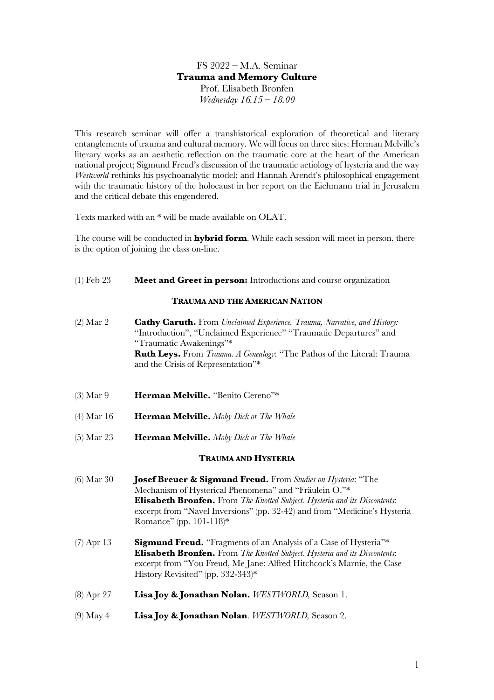## FS 2022 – M.A. Seminar **Trauma and Memory Culture** Prof. Elisabeth Bronfen *Wednesday 16.15 – 18.00*

This research seminar will offer a transhistorical exploration of theoretical and literary entanglements of trauma and cultural memory. We will focus on three sites: Herman Melville's literary works as an aesthetic reflection on the traumatic core at the heart of the American national project; Sigmund Freud's discussion of the traumatic aetiology of hysteria and the way *Westworld* rethinks his psychoanalytic model; and Hannah Arendt's philosophical engagement with the traumatic history of the holocaust in her report on the Eichmann trial in Jerusalem and the critical debate this engendered.

Texts marked with an \* will be made available on OLAT.

The course will be conducted in **hybrid form**. While each session will meet in person, there is the option of joining the class on-line.

### (1) Feb 23 **Meet and Greet in person:** Introductions and course organization

#### **TRAUMA AND THE AMERICAN NATION**

- (2) Mar 2 **Cathy Caruth.** From *Unclaimed Experience. Trauma, Narrative, and History:* "Introduction", "Unclaimed Experience" "Traumatic Departures" and "Traumatic Awakenings"\* **Ruth Leys.** From *Trauma. A Genealogy*: "The Pathos of the Literal: Trauma and the Crisis of Representation"\*
- (3) Mar 9 **Herman Melville.** "Benito Cereno"\*
- (4) Mar 16 **Herman Melville.** *Moby Dick or The Whale*
- (5) Mar 23 **Herman Melville.** *Moby Dick or The Whale*

#### **TRAUMA AND HYSTERIA**

- (6) Mar 30 **Josef Breuer & Sigmund Freud.** From *Studies on Hysteria*: "The Mechanism of Hysterical Phenomena" and "Fräulein O."\* **Elisabeth Bronfen.** From *The Knotted Subject. Hysteria and its Discontents*: excerpt from "Navel Inversions" (pp. 32-42) and from "Medicine's Hysteria Romance" (pp. 101-118)\*
- (7) Apr 13 **Sigmund Freud.** "Fragments of an Analysis of a Case of Hysteria"\* **Elisabeth Bronfen.** From *The Knotted Subject. Hysteria and its Discontents*: excerpt from "You Freud, Me Jane: Alfred Hitchcock's Marnie, the Case History Revisited" (pp. 332-343)\*
- (8) Apr 27 **Lisa Joy & Jonathan Nolan.** *WESTWORLD,* Season 1.
- (9) May 4 **Lisa Joy & Jonathan Nolan**. *WESTWORLD,* Season 2.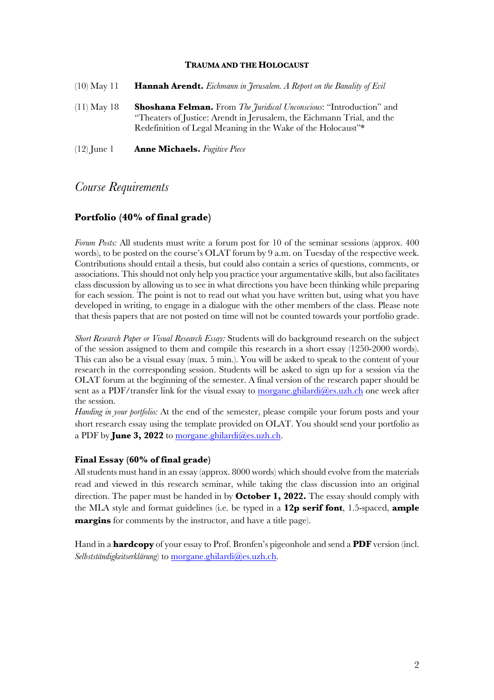#### **TRAUMA AND THE HOLOCAUST**

| $(10)$ May 11 | <b>Hannah Arendt.</b> Eichmann in Jerusalem. A Report on the Banality of Evil                                                                                                                                                |
|---------------|------------------------------------------------------------------------------------------------------------------------------------------------------------------------------------------------------------------------------|
| $(11)$ May 18 | <b>Shoshana Felman.</b> From <i>The Juridical Unconscious</i> : "Introduction" and<br>"Theaters of Justice: Arendt in Jerusalem, the Eichmann Trial, and the<br>Redefinition of Legal Meaning in the Wake of the Holocaust"* |
| $(12)$ June 1 | <b>Anne Michaels.</b> Fugitive Piece                                                                                                                                                                                         |

# *Course Requirements*

## **Portfolio (40% of final grade)**

*Forum Posts:* All students must write a forum post for 10 of the seminar sessions (approx. 400) words), to be posted on the course's OLAT forum by 9 a.m. on Tuesday of the respective week. Contributions should entail a thesis, but could also contain a series of questions, comments, or associations. This should not only help you practice your argumentative skills, but also facilitates class discussion by allowing us to see in what directions you have been thinking while preparing for each session. The point is not to read out what you have written but, using what you have developed in writing, to engage in a dialogue with the other members of the class. Please note that thesis papers that are not posted on time will not be counted towards your portfolio grade.

*Short Research Paper or Visual Research Essay:* Students will do background research on the subject of the session assigned to them and compile this research in a short essay (1250-2000 words). This can also be a visual essay (max. 5 min.). You will be asked to speak to the content of your research in the corresponding session. Students will be asked to sign up for a session via the OLAT forum at the beginning of the semester. A final version of the research paper should be sent as a PDF/transfer link for the visual essay to morgane.ghilardi $@$ es.uzh.ch one week after the session.

*Handing in your portfolio:* At the end of the semester, please compile your forum posts and your short research essay using the template provided on OLAT. You should send your portfolio as a PDF by **June 3, 2022** to morgane.ghilardi@es.uzh.ch.

#### **Final Essay (60% of final grade)**

All students must hand in an essay (approx. 8000 words) which should evolve from the materials read and viewed in this research seminar, while taking the class discussion into an original direction. The paper must be handed in by **October 1, 2022.** The essay should comply with the MLA style and format guidelines (i.e. be typed in a **12p serif font**, 1.5-spaced, **ample margins** for comments by the instructor, and have a title page).

Hand in a **hardcopy** of your essay to Prof. Bronfen's pigeonhole and send a **PDF** version (incl. *Selbstständigkeitserklärung*) to morgane.ghilardi@es.uzh.ch.